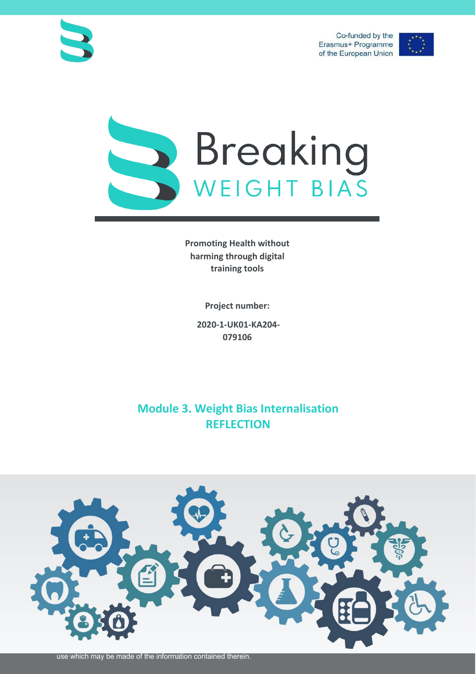Co-funded by the Erasmus+ Programme of the European Union







**Promoting Health without harming through digital training tools**

**Project number:**

**2020-1-UK01-KA204- 079106**

## **Module 3. Weight Bias Internalisation REFLECTION**